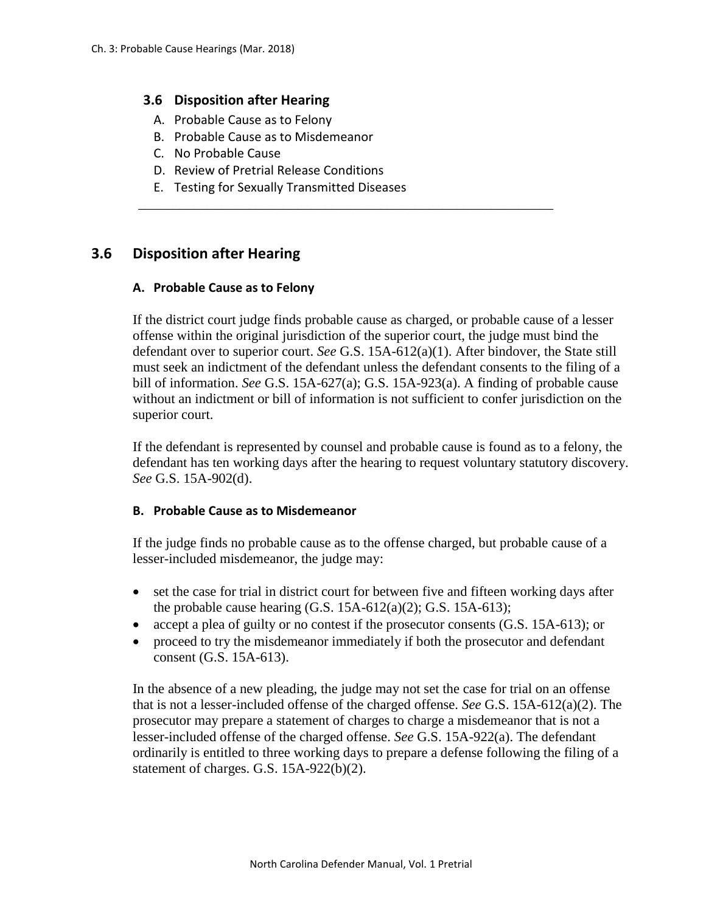### **3.6 Disposition after Hearing**

- A. Probable Cause as to Felony
- B. Probable Cause as to Misdemeanor
- C. No Probable Cause
- D. Review of Pretrial Release Conditions
- E. Testing for Sexually Transmitted Diseases

# **3.6 Disposition after Hearing**

#### **A. Probable Cause as to Felony**

If the district court judge finds probable cause as charged, or probable cause of a lesser offense within the original jurisdiction of the superior court, the judge must bind the defendant over to superior court. *See* G.S. 15A-612(a)(1). After bindover, the State still must seek an indictment of the defendant unless the defendant consents to the filing of a bill of information. *See* G.S. 15A-627(a); G.S. 15A-923(a). A finding of probable cause without an indictment or bill of information is not sufficient to confer jurisdiction on the superior court.

\_\_\_\_\_\_\_\_\_\_\_\_\_\_\_\_\_\_\_\_\_\_\_\_\_\_\_\_\_\_\_\_\_\_\_\_\_\_\_\_\_\_\_\_\_\_\_\_\_\_\_\_\_\_\_\_\_\_\_\_

If the defendant is represented by counsel and probable cause is found as to a felony, the defendant has ten working days after the hearing to request voluntary statutory discovery. *See* G.S. 15A-902(d).

#### **B. Probable Cause as to Misdemeanor**

If the judge finds no probable cause as to the offense charged, but probable cause of a lesser-included misdemeanor, the judge may:

- set the case for trial in district court for between five and fifteen working days after the probable cause hearing (G.S. 15A-612(a)(2); G.S. 15A-613);
- accept a plea of guilty or no contest if the prosecutor consents (G.S. 15A-613); or
- proceed to try the misdemeanor immediately if both the prosecutor and defendant consent (G.S. 15A-613).

In the absence of a new pleading, the judge may not set the case for trial on an offense that is not a lesser-included offense of the charged offense. *See* G.S. 15A-612(a)(2). The prosecutor may prepare a statement of charges to charge a misdemeanor that is not a lesser-included offense of the charged offense. *See* G.S. 15A-922(a). The defendant ordinarily is entitled to three working days to prepare a defense following the filing of a statement of charges. G.S. 15A-922(b)(2).